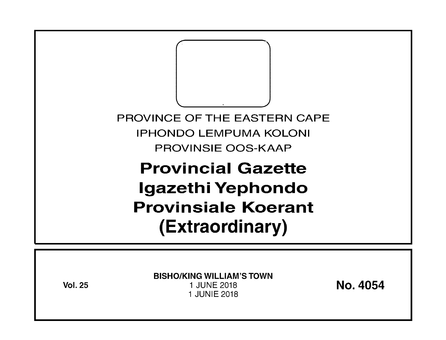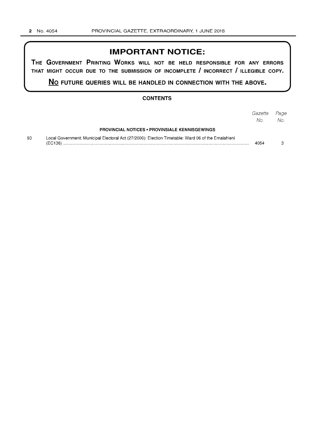# **IMPORTANT NOTICE:**

**THE GOVERNMENT PRINTING WORKS WILL NOT BE HELD RESPONSIBLE FOR ANY ERRORS THAT MIGHT OCCUR DUE TO THE SUBMISSION OF INCOMPLETE I INCORRECT I ILLEGIBLE COPY.** 

**No FUTURE QUERIES WILL BE HANDLED IN CONNECTION WITH THE ABOVE.** 

#### **CONTENTS**

|    |                                                                                                    | Gazette Page<br>No. | No. |
|----|----------------------------------------------------------------------------------------------------|---------------------|-----|
|    | <b>PROVINCIAL NOTICES • PROVINSIALE KENNISGEWINGS</b>                                              |                     |     |
| 93 | Local Government: Municipal Electoral Act (27/2000): Election Timetable: Ward 06 of the Emalahleni | 4054                |     |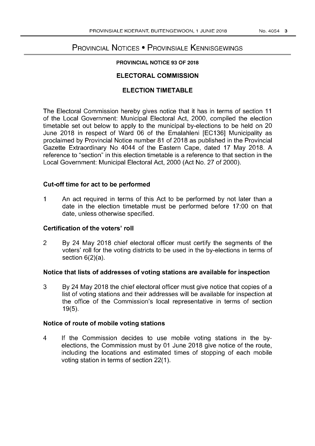# PROVINCIAL NOTICES • PROVINSIALE KENNISGEWINGS

#### PROVINCIAL NOTICE 93 OF 2018

## ELECTORAL COMMISSION

## ELECTION TIMETABLE

The Electoral Commission hereby gives notice that it has in terms of section 11 of the Local Government: Municipal Electoral Act, 2000, compiled the election timetable set out below to apply to the municipal by-elections to be held on 20 June 2018 in respect of Ward 06 of the Emalahleni [EC136] Municipality as proclaimed by Provincial Notice number 81 of 2018 as published in the Provincial Gazette Extraordinary No 4044 of the Eastern Cape, dated 17 May 2018. A reference to "section" in this election timetable is a reference to that section in the Local Government: Municipal Electoral Act, 2000 (Act No. 27 of 2000).

## Cut-off time for act to be performed

1 An act required in terms of this Act to be performed by not later than a date in the election timetable must be performed before 17:00 on that date, unless otherwise specified.

## Certification of the voters' roll

2 By 24 May 2018 chief electoral officer must certify the segments of the voters' roll for the voting districts to be used in the by-elections in terms of section 6(2)(a).

## Notice that lists of addresses of voting stations are available for inspection

3 By 24 May 2018 the chief electoral officer must give notice that copies of a list of voting stations and their addresses will be available for inspection at the office of the Commission's local representative in terms of section 19(5).

## Notice of route of mobile voting stations

4 If the Commission decides to use mobile voting stations in the byelections, the Commission must by 01 June 2018 give notice of the route, including the locations and estimated times of stopping of each mobile voting station in terms of section 22(1).